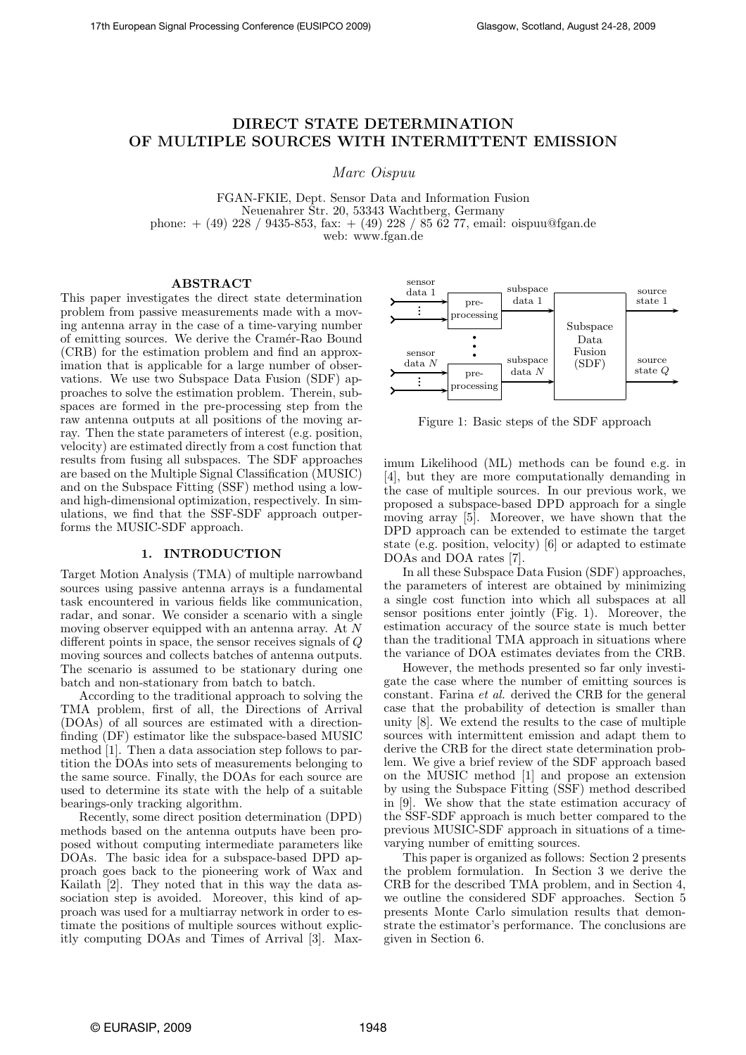# DIRECT STATE DETERMINATION OF MULTIPLE SOURCES WITH INTERMITTENT EMISSION

Marc Oispuu

FGAN-FKIE, Dept. Sensor Data and Information Fusion Neuenahrer Str. 20, 53343 Wachtberg, Germany phone: + (49) 228 / 9435-853, fax: + (49) 228 / 85 62 77, email: oispuu@fgan.de web: www.fgan.de

#### ABSTRACT

This paper investigates the direct state determination problem from passive measurements made with a moving antenna array in the case of a time-varying number of emitting sources. We derive the Cramér-Rao Bound (CRB) for the estimation problem and find an approximation that is applicable for a large number of observations. We use two Subspace Data Fusion (SDF) approaches to solve the estimation problem. Therein, subspaces are formed in the pre-processing step from the raw antenna outputs at all positions of the moving array. Then the state parameters of interest (e.g. position, velocity) are estimated directly from a cost function that results from fusing all subspaces. The SDF approaches are based on the Multiple Signal Classification (MUSIC) and on the Subspace Fitting (SSF) method using a lowand high-dimensional optimization, respectively. In simulations, we find that the SSF-SDF approach outperforms the MUSIC-SDF approach.

## 1. INTRODUCTION

Target Motion Analysis (TMA) of multiple narrowband sources using passive antenna arrays is a fundamental task encountered in various fields like communication, radar, and sonar. We consider a scenario with a single moving observer equipped with an antenna array. At N different points in space, the sensor receives signals of Q moving sources and collects batches of antenna outputs. The scenario is assumed to be stationary during one batch and non-stationary from batch to batch.

According to the traditional approach to solving the TMA problem, first of all, the Directions of Arrival (DOAs) of all sources are estimated with a directionfinding (DF) estimator like the subspace-based MUSIC method [1]. Then a data association step follows to partition the DOAs into sets of measurements belonging to the same source. Finally, the DOAs for each source are used to determine its state with the help of a suitable bearings-only tracking algorithm.

Recently, some direct position determination (DPD) methods based on the antenna outputs have been proposed without computing intermediate parameters like DOAs. The basic idea for a subspace-based DPD approach goes back to the pioneering work of Wax and Kailath [2]. They noted that in this way the data association step is avoided. Moreover, this kind of approach was used for a multiarray network in order to estimate the positions of multiple sources without explicitly computing DOAs and Times of Arrival [3]. Max-



Figure 1: Basic steps of the SDF approach

imum Likelihood (ML) methods can be found e.g. in [4], but they are more computationally demanding in the case of multiple sources. In our previous work, we proposed a subspace-based DPD approach for a single moving array [5]. Moreover, we have shown that the DPD approach can be extended to estimate the target state (e.g. position, velocity) [6] or adapted to estimate DOAs and DOA rates [7].

In all these Subspace Data Fusion (SDF) approaches, the parameters of interest are obtained by minimizing a single cost function into which all subspaces at all sensor positions enter jointly (Fig. 1). Moreover, the estimation accuracy of the source state is much better than the traditional TMA approach in situations where the variance of DOA estimates deviates from the CRB.

However, the methods presented so far only investigate the case where the number of emitting sources is constant. Farina et al. derived the CRB for the general case that the probability of detection is smaller than unity [8]. We extend the results to the case of multiple sources with intermittent emission and adapt them to derive the CRB for the direct state determination problem. We give a brief review of the SDF approach based on the MUSIC method [1] and propose an extension by using the Subspace Fitting (SSF) method described in [9]. We show that the state estimation accuracy of the SSF-SDF approach is much better compared to the previous MUSIC-SDF approach in situations of a timevarying number of emitting sources.

This paper is organized as follows: Section 2 presents the problem formulation. In Section 3 we derive the CRB for the described TMA problem, and in Section 4, we outline the considered SDF approaches. Section 5 presents Monte Carlo simulation results that demonstrate the estimator's performance. The conclusions are given in Section 6.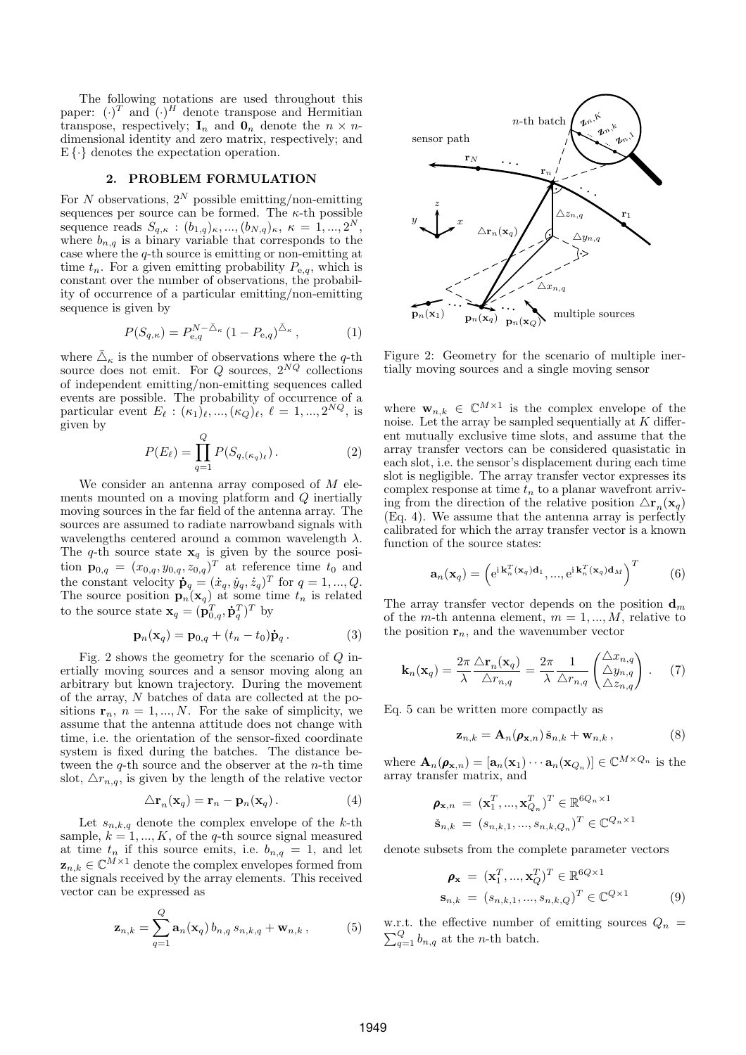The following notations are used throughout this paper:  $(\cdot)^T$  and  $(\cdot)^H$  denote transpose and Hermitian transpose, respectively;  $I_n$  and  $O_n$  denote the  $n \times n$ dimensional identity and zero matrix, respectively; and  $E\{\cdot\}$  denotes the expectation operation.

## 2. PROBLEM FORMULATION

For N observations,  $2^N$  possible emitting/non-emitting sequences per source can be formed. The  $\kappa$ -th possible sequence reads  $S_{q,\kappa} : (b_{1,q})_{\kappa}, ..., (b_{N,q})_{\kappa}, \ \kappa = 1, ..., 2^N,$ where  $b_{n,q}$  is a binary variable that corresponds to the case where the q-th source is emitting or non-emitting at time  $t_n$ . For a given emitting probability  $P_{e,q}$ , which is constant over the number of observations, the probability of occurrence of a particular emitting/non-emitting sequence is given by

$$
P(S_{q,\kappa}) = P_{e,q}^{N-\bar{\Delta}_{\kappa}} (1 - P_{e,q})^{\bar{\Delta}_{\kappa}}, \qquad (1)
$$

where  $\bar{\triangle}_{\kappa}$  is the number of observations where the q-th source does not emit. For  $Q$  sources,  $2^{NQ}$  collections of independent emitting/non-emitting sequences called events are possible. The probability of occurrence of a particular event  $E_{\ell}: (\kappa_1)_{\ell}, ..., (\kappa_Q)_{\ell}, \ell = 1, ..., 2^{NQ}$ , is given by

$$
P(E_{\ell}) = \prod_{q=1}^{Q} P(S_{q,(\kappa_q)_{\ell}}).
$$
 (2)

We consider an antenna array composed of  $M$  elements mounted on a moving platform and Q inertially moving sources in the far field of the antenna array. The sources are assumed to radiate narrowband signals with wavelengths centered around a common wavelength  $\lambda$ . The q-th source state  $x_q$  is given by the source position  $\mathbf{p}_{0,q} = (x_{0,q}, y_{0,q}, z_{0,q})^T$  at reference time  $t_0$  and the constant velocity  $\dot{\mathbf{p}}_q = (\dot{x}_q, \dot{y}_q, \dot{z}_q)^T$  for  $q = 1, ..., Q$ . The source position  $\mathbf{p}_n(\mathbf{x}_q)$  at some time  $t_n$  is related to the source state  $\mathbf{x}_q = (\mathbf{p}_{0,q}^T, \dot{\mathbf{p}}_q^T)^T$  by

$$
\mathbf{p}_n(\mathbf{x}_q) = \mathbf{p}_{0,q} + (t_n - t_0)\dot{\mathbf{p}}_q. \tag{3}
$$

Fig. 2 shows the geometry for the scenario of Q inertially moving sources and a sensor moving along an arbitrary but known trajectory. During the movement of the array, N batches of data are collected at the positions  $\mathbf{r}_n$ ,  $n = 1, ..., N$ . For the sake of simplicity, we assume that the antenna attitude does not change with time, i.e. the orientation of the sensor-fixed coordinate system is fixed during the batches. The distance between the  $q$ -th source and the observer at the *n*-th time slot,  $\Delta r_{n,q}$ , is given by the length of the relative vector

$$
\Delta \mathbf{r}_n(\mathbf{x}_q) = \mathbf{r}_n - \mathbf{p}_n(\mathbf{x}_q). \tag{4}
$$

Let  $s_{n,k,q}$  denote the complex envelope of the k-th sample,  $k = 1, ..., K$ , of the q-th source signal measured at time  $t_n$  if this source emits, i.e.  $b_{n,q} = 1$ , and let  $z_{n,k} \in \mathbb{C}^{M \times 1}$  denote the complex envelopes formed from the signals received by the array elements. This received vector can be expressed as

$$
\mathbf{z}_{n,k} = \sum_{q=1}^{Q} \mathbf{a}_n(\mathbf{x}_q) b_{n,q} s_{n,k,q} + \mathbf{w}_{n,k},
$$
 (5)



Figure 2: Geometry for the scenario of multiple inertially moving sources and a single moving sensor

where  $\mathbf{w}_{n,k} \in \mathbb{C}^{M \times 1}$  is the complex envelope of the noise. Let the array be sampled sequentially at  $K$  different mutually exclusive time slots, and assume that the array transfer vectors can be considered quasistatic in each slot, i.e. the sensor's displacement during each time slot is negligible. The array transfer vector expresses its complex response at time  $t_n$  to a planar wavefront arriving from the direction of the relative position  $\Delta \mathbf{r}_n(\mathbf{x}_q)$ (Eq. 4). We assume that the antenna array is perfectly calibrated for which the array transfer vector is a known function of the source states:

$$
\mathbf{a}_n(\mathbf{x}_q) = \left(e^{\mathrm{i}\,\mathbf{k}_n^T(\mathbf{x}_q)\mathbf{d}_1}, \dots, e^{\mathrm{i}\,\mathbf{k}_n^T(\mathbf{x}_q)\mathbf{d}_M}\right)^T \tag{6}
$$

The array transfer vector depends on the position  $\mathbf{d}_m$ of the m-th antenna element,  $m = 1, ..., M$ , relative to the position  $r_n$ , and the wavenumber vector

$$
\mathbf{k}_n(\mathbf{x}_q) = \frac{2\pi}{\lambda} \frac{\Delta \mathbf{r}_n(\mathbf{x}_q)}{\Delta r_{n,q}} = \frac{2\pi}{\lambda} \frac{1}{\Delta r_{n,q}} \begin{pmatrix} \Delta x_{n,q} \\ \Delta y_{n,q} \\ \Delta z_{n,q} \end{pmatrix} . \tag{7}
$$

Eq. 5 can be written more compactly as

$$
\mathbf{z}_{n,k} = \mathbf{A}_n(\boldsymbol{\rho}_{\mathbf{x},n}) \tilde{\mathbf{s}}_{n,k} + \mathbf{w}_{n,k},
$$
 (8)

where  $\mathbf{A}_n(\boldsymbol{\rho}_{\mathbf{x},n}) = [\mathbf{a}_n(\mathbf{x}_1) \cdots \mathbf{a}_n(\mathbf{x}_{Q_n})] \in \mathbb{C}^{M \times Q_n}$  is the array transfer matrix, and

$$
\rho_{\mathbf{x},n} = (\mathbf{x}_1^T, ..., \mathbf{x}_{Q_n}^T)^T \in \mathbb{R}^{6Q_n \times 1}
$$

$$
\check{\mathbf{s}}_{n,k} = (s_{n,k,1}, ..., s_{n,k,Q_n})^T \in \mathbb{C}^{Q_n \times 1}
$$

denote subsets from the complete parameter vectors

$$
\rho_{\mathbf{x}} = (\mathbf{x}_1^T, ..., \mathbf{x}_Q^T)^T \in \mathbb{R}^{6Q \times 1}
$$
  
\n
$$
\mathbf{s}_{n,k} = (s_{n,k,1}, ..., s_{n,k,Q})^T \in \mathbb{C}^{Q \times 1}
$$
 (9)

 $\sum_{q=1}^{Q} b_{n,q}$  at the *n*-th batch. w.r.t. the effective number of emitting sources  $Q_n =$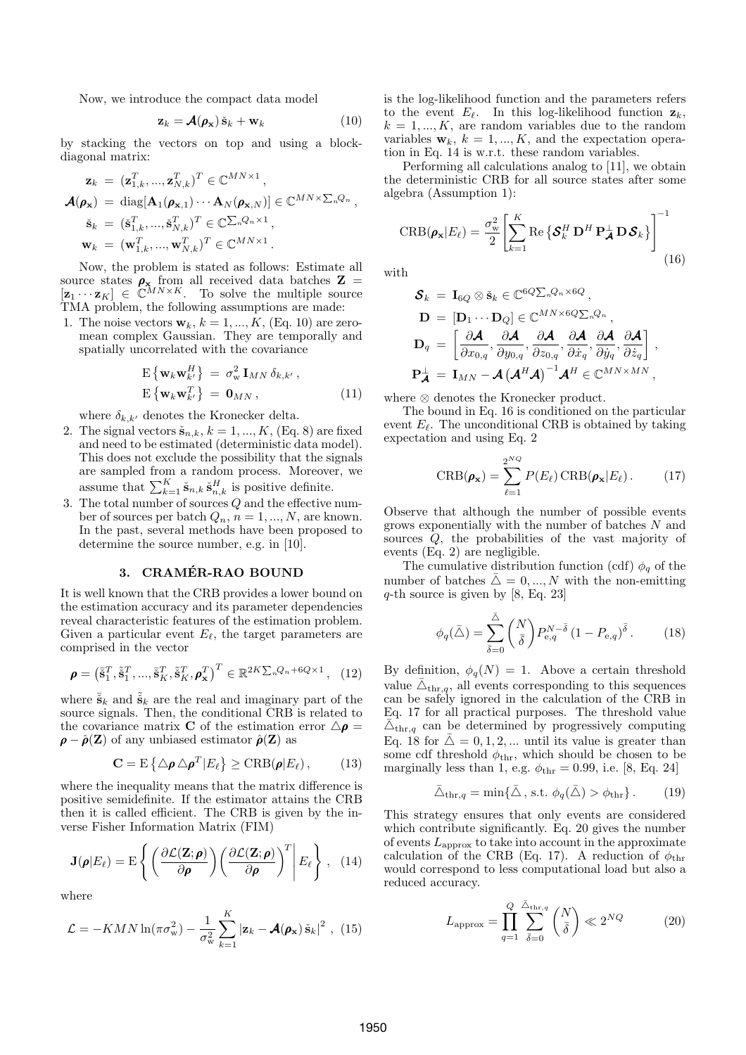Now, we introduce the compact data model

$$
\mathbf{z}_k = \mathcal{A}(\boldsymbol{\rho}_\mathbf{x}) \, \dot{\mathbf{s}}_k + \mathbf{w}_k \tag{10}
$$

by stacking the vectors on top and using a blockdiagonal matrix:

$$
\mathbf{z}_{k} = (\mathbf{z}_{1,k}^{T}, ..., \mathbf{z}_{N,k}^{T})^{T} \in \mathbb{C}^{MN \times 1},
$$
  
\n
$$
\mathbf{A}(\mathbf{\rho}_{\mathbf{x}}) = \text{diag}[\mathbf{A}_{1}(\mathbf{\rho}_{\mathbf{x},1}) \cdots \mathbf{A}_{N}(\mathbf{\rho}_{\mathbf{x},N})] \in \mathbb{C}^{MN \times \sum_{n} Q_{n}},
$$
  
\n
$$
\check{\mathbf{s}}_{k} = (\check{\mathbf{s}}_{1,k}^{T}, ..., \check{\mathbf{s}}_{N,k}^{T})^{T} \in \mathbb{C}^{\sum_{n} Q_{n} \times 1},
$$
  
\n
$$
\mathbf{w}_{k} = (\mathbf{w}_{1,k}^{T}, ..., \mathbf{w}_{N,k}^{T})^{T} \in \mathbb{C}^{MN \times 1}.
$$

Now, the problem is stated as follows: Estimate all source states  $\rho_x$  from all received data batches  $Z =$  $[\mathbf{z}_1 \cdots \mathbf{z}_K] \in \mathbb{C}^{MN \times K}$ . To solve the multiple source TMA problem, the following assumptions are made:

1. The noise vectors  $\mathbf{w}_k$ ,  $k = 1, ..., K$ , (Eq. 10) are zeromean complex Gaussian. They are temporally and spatially uncorrelated with the covariance

$$
\mathbf{E}\left\{\mathbf{w}_{k}\mathbf{w}_{k'}^{H}\right\} = \sigma_{\mathbf{w}}^{2}\mathbf{I}_{MN}\,\delta_{k,k'},
$$
\n
$$
\mathbf{E}\left\{\mathbf{w}_{k}\mathbf{w}_{k'}^{T}\right\} = \mathbf{0}_{MN},
$$
\n(11)

where  $\delta_{k,k'}$  denotes the Kronecker delta.

- 2. The signal vectors  $\check{\mathbf{s}}_{n,k}$ ,  $k = 1, ..., K$ , (Eq. 8) are fixed and need to be estimated (deterministic data model). This does not exclude the possibility that the signals are sampled from a random process. Moreover, we assume that  $\sum_{k=1}^{K} \check{\mathbf{s}}_{n,k} \check{\mathbf{s}}_{n,k}^H$  is positive definite.
- 3. The total number of sources Q and the effective number of sources per batch  $Q_n$ ,  $n = 1, ..., N$ , are known. In the past, several methods have been proposed to determine the source number, e.g. in [10].

## 3. CRAMÉR-RAO BOUND

It is well known that the CRB provides a lower bound on the estimation accuracy and its parameter dependencies reveal characteristic features of the estimation problem. Given a particular event  $E_{\ell}$ , the target parameters are comprised in the vector

$$
\boldsymbol{\rho} = \left(\tilde{\mathbf{s}}_1^T, \tilde{\mathbf{s}}_1^T, ..., \tilde{\mathbf{s}}_K^T, \tilde{\mathbf{s}}_K^T, \boldsymbol{\rho}_{\mathbf{x}}^T\right)^T \in \mathbb{R}^{2K\sum_{n} Q_n + 6Q \times 1}, \quad (12)
$$

where  $\tilde{\check{\mathbf{s}}}_k$  and  $\check{\check{\mathbf{s}}}_k$  are the real and imaginary part of the source signals. Then, the conditional CRB is related to the covariance matrix **C** of the estimation error  $\Delta \rho$  =  $\rho - \hat{\rho}(\mathbf{Z})$  of any unbiased estimator  $\hat{\rho}(\mathbf{Z})$  as

$$
\mathbf{C} = \mathrm{E} \left\{ \Delta \boldsymbol{\rho} \, \Delta \boldsymbol{\rho}^T | E_{\ell} \right\} \geq \mathrm{CRB}(\boldsymbol{\rho} | E_{\ell}), \tag{13}
$$

where the inequality means that the matrix difference is positive semidefinite. If the estimator attains the CRB then it is called efficient. The CRB is given by the inverse Fisher Information Matrix (FIM)

$$
\mathbf{J}(\boldsymbol{\rho}|E_{\ell}) = \mathrm{E}\left\{ \left( \frac{\partial \mathcal{L}(\mathbf{Z}; \boldsymbol{\rho})}{\partial \boldsymbol{\rho}} \right) \left( \frac{\partial \mathcal{L}(\mathbf{Z}; \boldsymbol{\rho})}{\partial \boldsymbol{\rho}} \right)^{T} \middle| E_{\ell} \right\}, (14)
$$

where

$$
\mathcal{L} = -KMN\ln(\pi\sigma_{\mathbf{w}}^2) - \frac{1}{\sigma_{\mathbf{w}}^2} \sum_{k=1}^K |\mathbf{z}_k - \mathcal{A}(\boldsymbol{\rho}_{\mathbf{x}}) \tilde{\mathbf{s}}_k|^2 , \quad (15)
$$

is the log-likelihood function and the parameters refers to the event  $E_{\ell}$ . In this log-likelihood function  $z_k$ ,  $k = 1, ..., K$ , are random variables due to the random variables  $\mathbf{w}_k$ ,  $k = 1, ..., K$ , and the expectation operation in Eq. 14 is w.r.t. these random variables.

 $MN \times \sum_{n} Q_n$  algebra (Assumption 1): Performing all calculations analog to [11], we obtain the deterministic CRB for all source states after some algebra (Assumption 1):

$$
{}^{T} \in \mathbb{C}^{\sum_{n} Q_{n} \times 1},
$$
\n
$$
{}_{k} \bigg|^{T} \in \mathbb{C}^{MN \times 1}.
$$
\n
$$
\text{CRB}(\rho_{\mathbf{x}} | E_{\ell}) = \frac{\sigma_{\mathbf{w}}^{2}}{2} \left[ \sum_{k=1}^{K} \text{Re} \left\{ \mathbf{\mathcal{S}}_{k}^{H} \mathbf{D}^{H} \mathbf{P}_{\mathbf{\mathcal{A}}}^{\perp} \mathbf{D} \mathbf{\mathcal{S}}_{k} \right\} \right]^{-1}
$$
\nthat also follows: For example,  $\mathbf{F}_{k} = \mathbf{F}_{k}^{M} \mathbf{F}_{k}^{M}$ .

\n(16)

with

$$
\begin{aligned} \boldsymbol{\mathcal{S}}_k \;&=\; \mathbf{I}_{6Q} \otimes \check{\mathbf{s}}_k \in \mathbb{C}^{6Q \sum_n Q_n \times 6Q} \,, \\ \mathbf{D} \;&=\; &\left[\mathbf{D}_1 \cdots \mathbf{D}_Q \right] \in \mathbb{C}^{MN \times 6Q \sum_n Q_n} \,, \\ \mathbf{D}_q \;&=\; &\left[\frac{\partial \boldsymbol{\mathcal{A}}}{\partial x_{0,q}}, \frac{\partial \boldsymbol{\mathcal{A}}}{\partial y_{0,q}}, \frac{\partial \boldsymbol{\mathcal{A}}}{\partial z_{0,q}}, \frac{\partial \boldsymbol{\mathcal{A}}}{\partial \dot{x}_q}, \frac{\partial \boldsymbol{\mathcal{A}}}{\partial \dot{y}_q}, \frac{\partial \boldsymbol{\mathcal{A}}}{\partial \dot{z}_q} \right] \,, \\ \mathbf{P}_{\boldsymbol{\mathcal{A}}}^\perp \;&=\; \mathbf{I}_{MN} - \boldsymbol{\mathcal{A}} \left(\boldsymbol{\mathcal{A}}^H \boldsymbol{\mathcal{A}} \right)^{-1} \boldsymbol{\mathcal{A}}^H \in \mathbb{C}^{MN \times MN} \,, \end{aligned}
$$

where ⊗ denotes the Kronecker product.

The bound in Eq. 16 is conditioned on the particular event  $E_{\ell}$ . The unconditional CRB is obtained by taking expectation and using Eq. 2

$$
CRB(\pmb{\rho}_{\mathbf{x}}) = \sum_{\ell=1}^{2^{NQ}} P(E_{\ell}) \, CRB(\pmb{\rho}_{\mathbf{x}}|E_{\ell}). \tag{17}
$$

Observe that although the number of possible events grows exponentially with the number of batches N and sources Q, the probabilities of the vast majority of events (Eq. 2) are negligible.

The cumulative distribution function (cdf)  $\phi_q$  of the number of batches  $\bar{\triangle} = 0, ..., N$  with the non-emitting  $q$ -th source is given by [8, Eq. 23]

$$
\phi_q(\bar{\triangle}) = \sum_{\bar{\delta}=0}^{\bar{\triangle}} \binom{N}{\bar{\delta}} P_{\mathrm{e},q}^{N-\bar{\delta}} \left(1 - P_{\mathrm{e},q}\right)^{\bar{\delta}}.
$$
 (18)

 $2K\sum_{n} Q_{n} + 6Q \times 1$  (12) By definition,  $\phi_{q}(N) = 1$ . Above a certain threshold value  $\bar{\Delta}_{\text{thr},q}$ , all events corresponding to this sequences can be safely ignored in the calculation of the CRB in Eq. 17 for all practical purposes. The threshold value  $\bar{\triangle}_{\text{thr},q}$  can be determined by progressively computing Eq. 18 for  $\overline{\Delta} = 0, 1, 2, ...$  until its value is greater than some cdf threshold  $\phi_{\text{thr}}$ , which should be chosen to be marginally less than 1, e.g.  $\phi_{\text{thr}} = 0.99$ , i.e. [8, Eq. 24]

$$
\bar{\triangle}_{\text{thr},q} = \min\{\bar{\triangle}, \text{ s.t. } \phi_q(\bar{\triangle}) > \phi_{\text{thr}}\}.
$$
 (19)

This strategy ensures that only events are considered which contribute significantly. Eq. 20 gives the number of events  $L_{\text{approx}}$  to take into account in the approximate calculation of the CRB (Eq. 17). A reduction of  $\phi_{\text{thr}}$ would correspond to less computational load but also a reduced accuracy.

$$
L_{\text{approx}} = \prod_{q=1}^{Q} \sum_{\bar{\delta}=0}^{\bar{\Delta}_{\text{thr},q}} \binom{N}{\bar{\delta}} \ll 2^{NQ} \tag{20}
$$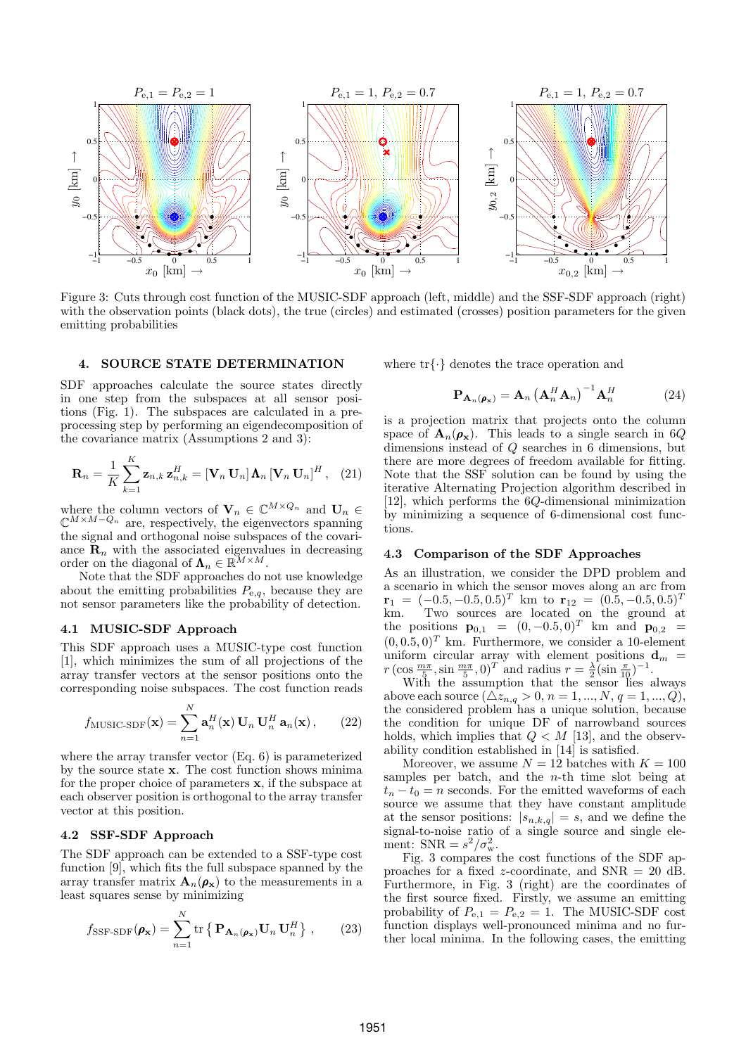

Figure 3: Cuts through cost function of the MUSIC-SDF approach (left, middle) and the SSF-SDF approach (right) with the observation points (black dots), the true (circles) and estimated (crosses) position parameters for the given emitting probabilities

#### 4. SOURCE STATE DETERMINATION

SDF approaches calculate the source states directly in one step from the subspaces at all sensor positions (Fig. 1). The subspaces are calculated in a preprocessing step by performing an eigendecomposition of the covariance matrix (Assumptions 2 and 3):

$$
\mathbf{R}_{n} = \frac{1}{K} \sum_{k=1}^{K} \mathbf{z}_{n,k} \, \mathbf{z}_{n,k}^{H} = [\mathbf{V}_{n} \, \mathbf{U}_{n}] \, \mathbf{\Lambda}_{n} \, [\mathbf{V}_{n} \, \mathbf{U}_{n}]^{H}, \quad (21)
$$

where the column vectors of  $\mathbf{V}_n \in \mathbb{C}^{M \times Q_n}$  and  $\mathbf{U}_n \in$  $\mathbb{C}^{M \times M-Q_n}$  are, respectively, the eigenvectors spanning the signal and orthogonal noise subspaces of the covariance  $\mathbf{R}_n$  with the associated eigenvalues in decreasing order on the diagonal of  $\mathbf{\Lambda}_n \in \mathbb{R}^{M \times M}$ .

Note that the SDF approaches do not use knowledge about the emitting probabilities  $P_{\text{e},q}$ , because they are not sensor parameters like the probability of detection.

## 4.1 MUSIC-SDF Approach

This SDF approach uses a MUSIC-type cost function [1], which minimizes the sum of all projections of the array transfer vectors at the sensor positions onto the corresponding noise subspaces. The cost function reads

$$
f_{\text{MUSIC-SDF}}(\mathbf{x}) = \sum_{n=1}^{N} \mathbf{a}_n^H(\mathbf{x}) \mathbf{U}_n \mathbf{U}_n^H \mathbf{a}_n(\mathbf{x}), \qquad (22)
$$

where the array transfer vector (Eq. 6) is parameterized by the source state x. The cost function shows minima for the proper choice of parameters x, if the subspace at each observer position is orthogonal to the array transfer vector at this position.

## 4.2 SSF-SDF Approach

The SDF approach can be extended to a SSF-type cost function [9], which fits the full subspace spanned by the array transfer matrix  $\mathbf{A}_n(\rho_{\mathbf{x}})$  to the measurements in a least squares sense by minimizing

$$
f_{\text{SSF-SDF}}(\boldsymbol{\rho}_{\mathbf{x}}) = \sum_{n=1}^{N} \text{tr} \left\{ \mathbf{P}_{\mathbf{A}_n(\boldsymbol{\rho}_{\mathbf{x}})} \mathbf{U}_n \mathbf{U}_n^H \right\}, \qquad (23)
$$

where tr{·} denotes the trace operation and

$$
\mathbf{P}_{\mathbf{A}_n(\boldsymbol{\rho}_\mathbf{x})} = \mathbf{A}_n \left(\mathbf{A}_n^H \mathbf{A}_n\right)^{-1} \mathbf{A}_n^H \tag{24}
$$

is a projection matrix that projects onto the column space of  $A_n(\rho_x)$ . This leads to a single search in 6Q dimensions instead of Q searches in 6 dimensions, but there are more degrees of freedom available for fitting. Note that the SSF solution can be found by using the iterative Alternating Projection algorithm described in [12], which performs the 6Q-dimensional minimization by minimizing a sequence of 6-dimensional cost functions.

## 4.3 Comparison of the SDF Approaches

As an illustration, we consider the DPD problem and a scenario in which the sensor moves along an arc from  $\mathbf{r}_1 = (-0.5, -0.5, 0.5)^T$  km to  $\mathbf{r}_{12} = (0.5, -0.5, 0.5)^T$ <br>km. Two sources are located on the ground at Two sources are located on the ground at the positions  $\mathbf{p}_{0,1} = (0, -0.5, 0)^T$  km and  $\mathbf{p}_{0,2} =$  $(0, 0.5, 0)^T$  km. Furthermore, we consider a 10-element uniform circular array with element positions  $\mathbf{d}_m$  =  $r \left(\cos \frac{m\pi}{5}, \sin \frac{m\pi}{5}, 0\right)^T$  and radius  $r = \frac{\lambda}{2} \left(\sin \frac{\pi}{10}\right)^{-1}$ .

With the assumption that the sensor lies always above each source  $(\triangle z_{n,q} > 0, n = 1, ..., N, q = 1, ..., Q),$ the considered problem has a unique solution, because the condition for unique DF of narrowband sources holds, which implies that  $Q \lt M$  [13], and the observability condition established in [14] is satisfied.

Moreover, we assume  $N = 12$  batches with  $K = 100$ samples per batch, and the *n*-th time slot being at  $t_n - t_0 = n$  seconds. For the emitted waveforms of each source we assume that they have constant amplitude at the sensor positions:  $|s_{n,k,q}| = s$ , and we define the signal-to-noise ratio of a single source and single element:  $SNR = s^2/\sigma_w^2$ .

Fig. 3 compares the cost functions of the SDF approaches for a fixed z-coordinate, and  $SNR = 20$  dB. Furthermore, in Fig. 3 (right) are the coordinates of the first source fixed. Firstly, we assume an emitting probability of  $P_{e,1} = P_{e,2} = 1$ . The MUSIC-SDF cost function displays well-pronounced minima and no further local minima. In the following cases, the emitting